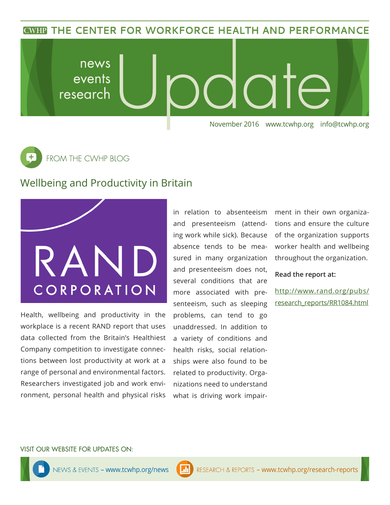**CWHP THE CENTER FOR WORKFORCE HEALTH AND PERFORMANCE** 

news Inte events research November 2016 www.tcwhp.org info@tcwhp.org

 $\overline{\texttt{+}}$ FROM THE CWHP BLOG

## Wellbeing and Productivity in Britain



Health, wellbeing and productivity in the workplace is a recent RAND report that uses data collected from the Britain's Healthiest Company competition to investigate connections between lost productivity at work at a range of personal and environmental factors. Researchers investigated job and work environment, personal health and physical risks in relation to absenteeism and presenteeism (attending work while sick). Because absence tends to be measured in many organization and presenteeism does not, several conditions that are more associated with presenteeism, such as sleeping problems, can tend to go unaddressed. In addition to a variety of conditions and health risks, social relationships were also found to be related to productivity. Organizations need to understand what is driving work impairment in their own organizations and ensure the culture of the organization supports worker health and wellbeing throughout the organization.

**Read the report at:**

http://www.rand.org/pubs/ research\_reports/RR1084.html

#### VISIT OUR WEBSITE FOR UPDATES ON: